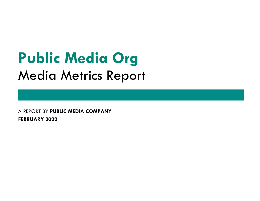# **Public Media Org** Media Metrics Report

A REPORT BY PUBLIC MEDIA COMPANY FEBRUARY 2022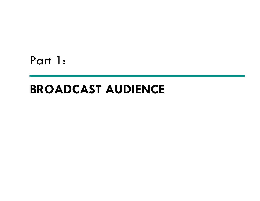Part 1:

.

#### BROADCAST AUDIENCE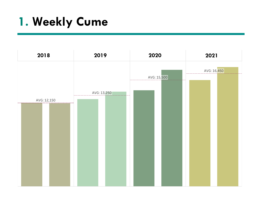# 1. Weekly Cume

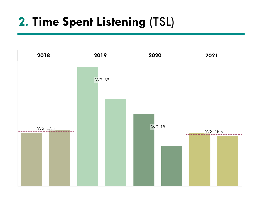# 2. Time Spent Listening (TSL)

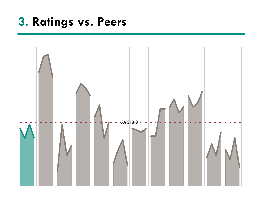## 3. Ratings vs. Peers

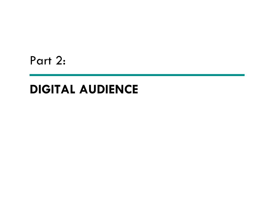Part 2:

.

### DIGITAL AUDIENCE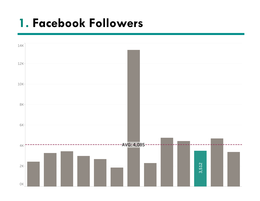#### 1. Facebook Followers

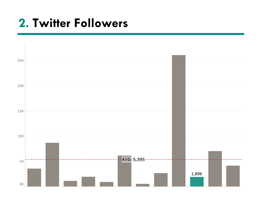# 2. Twitter Followers

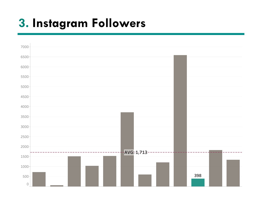# 3. Instagram Followers